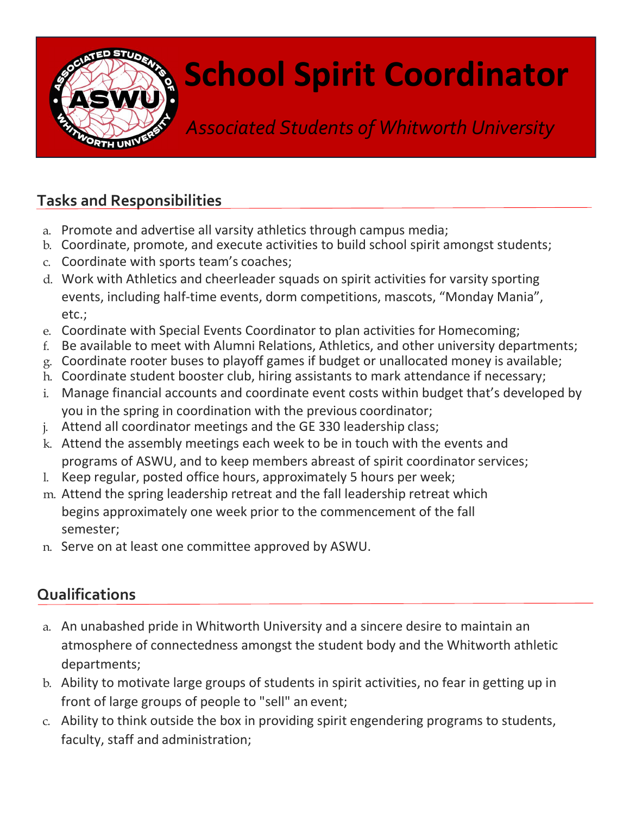

## School Spirit Coordinator

Associated Students of Whitworth University

## Tasks and Responsibilities

- a. Promote and advertise all varsity athletics through campus media;
- b. Coordinate, promote, and execute activities to build school spirit amongst students;
- c. Coordinate with sports team's coaches;
- d. Work with Athletics and cheerleader squads on spirit activities for varsity sporting events, including half-time events, dorm competitions, mascots, "Monday Mania", etc.;
- e. Coordinate with Special Events Coordinator to plan activities for Homecoming;
- f. Be available to meet with Alumni Relations, Athletics, and other university departments;
- g. Coordinate rooter buses to playoff games if budget or unallocated money is available;
- h. Coordinate student booster club, hiring assistants to mark attendance if necessary;
- i. Manage financial accounts and coordinate event costs within budget that's developed by you in the spring in coordination with the previous coordinator;
- j. Attend all coordinator meetings and the GE 330 leadership class;
- k. Attend the assembly meetings each week to be in touch with the events and programs of ASWU, and to keep members abreast of spirit coordinator services;
- l. Keep regular, posted office hours, approximately 5 hours per week;
- m. Attend the spring leadership retreat and the fall leadership retreat which begins approximately one week prior to the commencement of the fall semester;
- n. Serve on at least one committee approved by ASWU.

## **Qualifications**

- a. An unabashed pride in Whitworth University and a sincere desire to maintain an atmosphere of connectedness amongst the student body and the Whitworth athletic departments;
- b. Ability to motivate large groups of students in spirit activities, no fear in getting up in front of large groups of people to "sell" an event;
- c. Ability to think outside the box in providing spirit engendering programs to students, faculty, staff and administration;